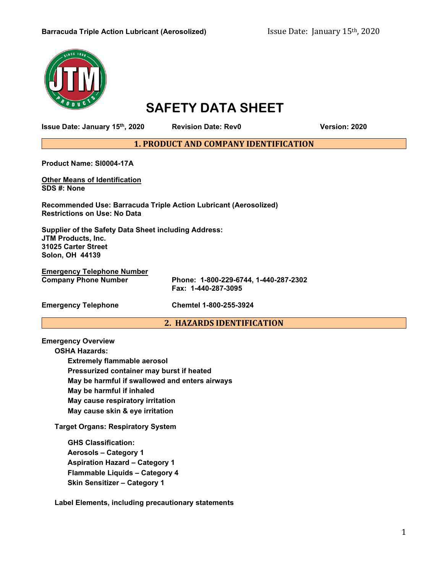#### **Barracuda Triple Action Lubricant (Aerosolized)** Issue Date: January 15<sup>th</sup>, 2020



# **SAFETY DATA SHEET**

**Issue Date: January 15th, 2020 Revision Date: Rev0 Version: 2020**

**1. PRODUCT AND COMPANY IDENTIFICATION**

**Product Name: SI0004-17A**

**Other Means of Identification SDS #: None**

**Recommended Use: Barracuda Triple Action Lubricant (Aerosolized) Restrictions on Use: No Data**

**Supplier of the Safety Data Sheet including Address: JTM Products, Inc. 31025 Carter Street Solon, OH 44139**

**Emergency Telephone Number**

**Company Phone Number Phone: 1-800-229-6744, 1-440-287-2302 Fax: 1-440-287-3095**

**Emergency Telephone Chemtel 1-800-255-3924**

## **2. HAZARDS IDENTIFICATION**

**Emergency Overview**

**OSHA Hazards: Extremely flammable aerosol Pressurized container may burst if heated May be harmful if swallowed and enters airways May be harmful if inhaled May cause respiratory irritation May cause skin & eye irritation**

**Target Organs: Respiratory System**

**GHS Classification: Aerosols – Category 1 Aspiration Hazard – Category 1 Flammable Liquids – Category 4 Skin Sensitizer – Category 1**

**Label Elements, including precautionary statements**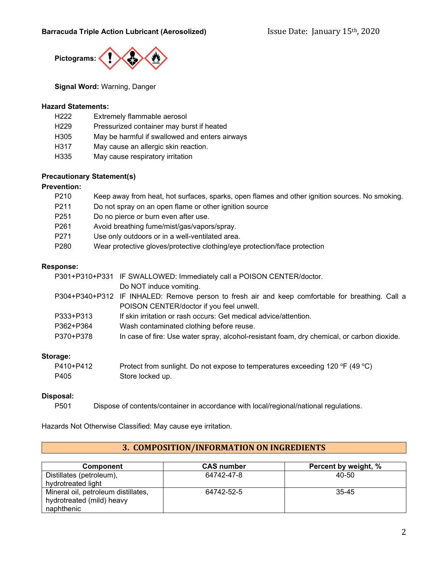

**Signal Word:** Warning, Danger

#### **Hazard Statements:**

| H <sub>222</sub> | Extremely flammable aerosol                    |
|------------------|------------------------------------------------|
| H <sub>229</sub> | Pressurized container may burst if heated      |
| H305             | May be harmful if swallowed and enters airways |
| H317             | May cause an allergic skin reaction.           |
| H335             | May cause respiratory irritation               |

## **Precautionary Statement(s)**

#### **Prevention:**

| P210             | Keep away from heat, hot surfaces, sparks, open flames and other ignition sources. No smoking. |
|------------------|------------------------------------------------------------------------------------------------|
| P <sub>211</sub> | Do not spray on an open flame or other ignition source                                         |
| P <sub>251</sub> | Do no pierce or burn even after use.                                                           |
| P <sub>261</sub> | Avoid breathing fume/mist/gas/vapors/spray.                                                    |
| P271             | Use only outdoors or in a well-ventilated area.                                                |
| P <sub>280</sub> | Wear protective gloves/protective clothing/eye protection/face protection                      |
|                  |                                                                                                |

## **Response:**

|           | P301+P310+P331 IF SWALLOWED: Immediately call a POISON CENTER/doctor.                            |
|-----------|--------------------------------------------------------------------------------------------------|
|           | Do NOT induce vomiting.                                                                          |
|           | P304+P340+P312 IF INHALED: Remove person to fresh air and keep comfortable for breathing. Call a |
|           | POISON CENTER/doctor if you feel unwell.                                                         |
| P333+P313 | If skin irritation or rash occurs: Get medical advice/attention.                                 |
| P362+P364 | Wash contaminated clothing before reuse.                                                         |
| P370+P378 | In case of fire: Use water spray, alcohol-resistant foam, dry chemical, or carbon dioxide.       |
|           |                                                                                                  |

## **Storage:**

| P410+P412 | Protect from sunlight. Do not expose to temperatures exceeding 120 °F (49 °C) |
|-----------|-------------------------------------------------------------------------------|
| P405      | Store locked up.                                                              |

## **Disposal:**

P501 Dispose of contents/container in accordance with local/regional/national regulations.

Hazards Not Otherwise Classified: May cause eye irritation.

# **3. COMPOSITION/INFORMATION ON INGREDIENTS**

| <b>Component</b>                    | <b>CAS number</b> | Percent by weight, % |
|-------------------------------------|-------------------|----------------------|
| Distillates (petroleum),            | 64742-47-8        | 40-50                |
| hydrotreated light                  |                   |                      |
| Mineral oil, petroleum distillates, | 64742-52-5        | 35-45                |
| hydrotreated (mild) heavy           |                   |                      |
| naphthenic                          |                   |                      |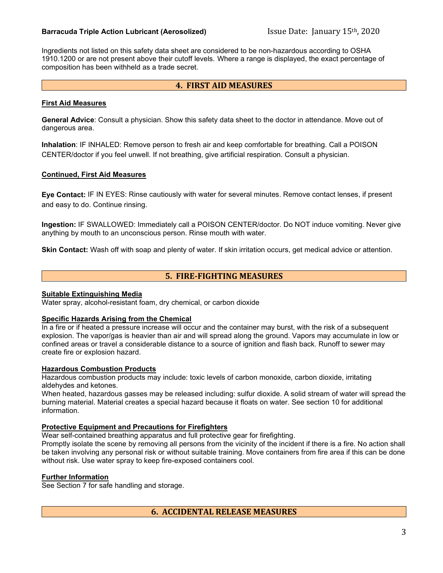## **Barracuda Triple Action Lubricant (Aerosolized)** Issue Date: January 15<sup>th</sup>, 2020

Ingredients not listed on this safety data sheet are considered to be non-hazardous according to OSHA 1910.1200 or are not present above their cutoff levels. Where a range is displayed, the exact percentage of composition has been withheld as a trade secret.

## **4. FIRST AID MEASURES**

#### **First Aid Measures**

**General Advice**: Consult a physician. Show this safety data sheet to the doctor in attendance. Move out of dangerous area.

**Inhalation**: IF INHALED: Remove person to fresh air and keep comfortable for breathing. Call a POISON CENTER/doctor if you feel unwell. If not breathing, give artificial respiration. Consult a physician.

#### **Continued, First Aid Measures**

**Eye Contact:** IF IN EYES: Rinse cautiously with water for several minutes. Remove contact lenses, if present and easy to do. Continue rinsing.

**Ingestion:** IF SWALLOWED: Immediately call a POISON CENTER/doctor. Do NOT induce vomiting. Never give anything by mouth to an unconscious person. Rinse mouth with water.

**Skin Contact:** Wash off with soap and plenty of water. If skin irritation occurs, get medical advice or attention.

## **5. FIRE-FIGHTING MEASURES**

#### **Suitable Extinguishing Media**

Water spray, alcohol-resistant foam, dry chemical, or carbon dioxide

#### **Specific Hazards Arising from the Chemical**

In a fire or if heated a pressure increase will occur and the container may burst, with the risk of a subsequent explosion. The vapor/gas is heavier than air and will spread along the ground. Vapors may accumulate in low or confined areas or travel a considerable distance to a source of ignition and flash back. Runoff to sewer may create fire or explosion hazard.

#### **Hazardous Combustion Products**

Hazardous combustion products may include: toxic levels of carbon monoxide, carbon dioxide, irritating aldehydes and ketones.

When heated, hazardous gasses may be released including: sulfur dioxide. A solid stream of water will spread the burning material. Material creates a special hazard because it floats on water. See section 10 for additional information.

#### **Protective Equipment and Precautions for Firefighters**

Wear self-contained breathing apparatus and full protective gear for firefighting.

Promptly isolate the scene by removing all persons from the vicinity of the incident if there is a fire. No action shall be taken involving any personal risk or without suitable training. Move containers from fire area if this can be done without risk. Use water spray to keep fire-exposed containers cool.

## **Further Information**

See Section 7 for safe handling and storage.

**6. ACCIDENTAL RELEASE MEASURES**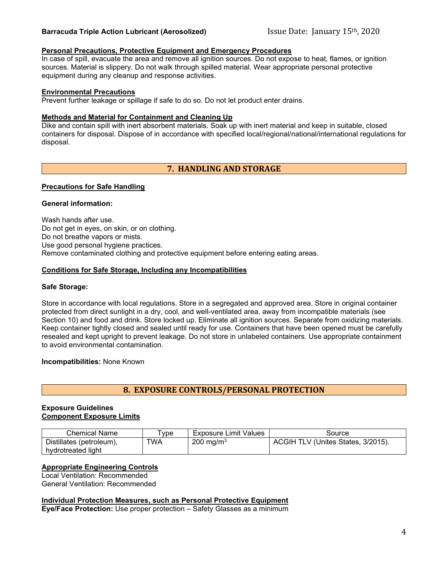## **Barracuda Triple Action Lubricant (Aerosolized)** Issue Date: January 15<sup>th</sup>, 2020

## **Personal Precautions, Protective Equipment and Emergency Procedures**

In case of spill, evacuate the area and remove all ignition sources. Do not expose to heat, flames, or ignition sources. Material is slippery. Do not walk through spilled material. Wear appropriate personal protective equipment during any cleanup and response activities.

#### **Environmental Precautions**

Prevent further leakage or spillage if safe to do so. Do not let product enter drains.

#### **Methods and Material for Containment and Cleaning Up**

Dike and contain spill with inert absorbent materials. Soak up with inert material and keep in suitable, closed containers for disposal. Dispose of in accordance with specified local/regional/national/international regulations for disposal.

# **7. HANDLING AND STORAGE**

#### **Precautions for Safe Handling**

#### **General information:**

Wash hands after use. Do not get in eyes, on skin, or on clothing. Do not breathe vapors or mists. Use good personal hygiene practices. Remove contaminated clothing and protective equipment before entering eating areas.

#### **Conditions for Safe Storage, Including any Incompatibilities**

#### **Safe Storage:**

Store in accordance with local regulations. Store in a segregated and approved area. Store in original container protected from direct sunlight in a dry, cool, and well-ventilated area, away from incompatible materials (see Section 10) and food and drink. Store locked up. Eliminate all ignition sources. Separate from oxidizing materials. Keep container tightly closed and sealed until ready for use. Containers that have been opened must be carefully resealed and kept upright to prevent leakage. Do not store in unlabeled containers. Use appropriate containment to avoid environmental contamination.

#### **Incompatibilities:** None Known

# **8. EXPOSURE CONTROLS/PERSONAL PROTECTION**

#### **Exposure Guidelines Component Exposure Limits**

| Chemical Name                                  | vpe | Exposure Limit Values | Source                             |
|------------------------------------------------|-----|-----------------------|------------------------------------|
| Distillates (petroleum),<br>hvdrotreated light | TWA | $200 \text{ mg/m}^3$  | ACGIH TLV (Unites States, 3/2015). |

## **Appropriate Engineering Controls**

Local Ventilation: Recommended General Ventilation: Recommended

## **Individual Protection Measures, such as Personal Protective Equipment**

**Eye/Face Protection:** Use proper protection – Safety Glasses as a minimum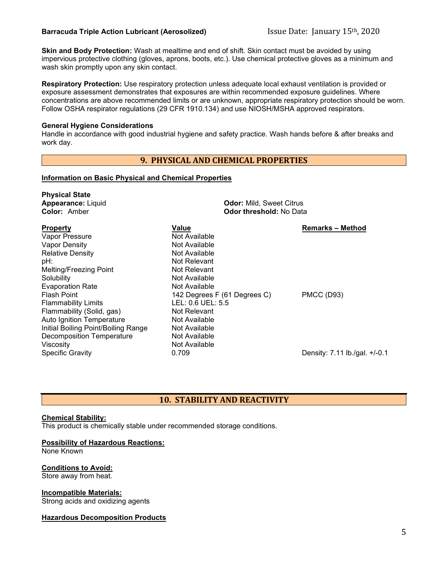**Skin and Body Protection:** Wash at mealtime and end of shift. Skin contact must be avoided by using impervious protective clothing (gloves, aprons, boots, etc.). Use chemical protective gloves as a minimum and wash skin promptly upon any skin contact.

**Respiratory Protection:** Use respiratory protection unless adequate local exhaust ventilation is provided or exposure assessment demonstrates that exposures are within recommended exposure guidelines. Where concentrations are above recommended limits or are unknown, appropriate respiratory protection should be worn. Follow OSHA respirator regulations (29 CFR 1910.134) and use NIOSH/MSHA approved respirators.

#### **General Hygiene Considerations**

Handle in accordance with good industrial hygiene and safety practice. Wash hands before & after breaks and work day.

## **9. PHYSICAL AND CHEMICAL PROPERTIES**

#### **Information on Basic Physical and Chemical Properties**

| <b>Physical State</b><br><b>Appearance: Liquid</b><br><b>Color: Amber</b> | <b>Odor:</b> Mild, Sweet Citrus<br>Odor threshold: No Data |                               |  |
|---------------------------------------------------------------------------|------------------------------------------------------------|-------------------------------|--|
| <b>Property</b>                                                           | Value                                                      | <b>Remarks – Method</b>       |  |
| Vapor Pressure<br><b>Vapor Density</b>                                    | Not Available<br>Not Available                             |                               |  |
| <b>Relative Density</b>                                                   | Not Available                                              |                               |  |
| pH:                                                                       | Not Relevant                                               |                               |  |
| Melting/Freezing Point                                                    | Not Relevant                                               |                               |  |
| Solubility                                                                | Not Available                                              |                               |  |
| <b>Evaporation Rate</b>                                                   | Not Available                                              |                               |  |
| <b>Flash Point</b>                                                        | 142 Degrees F (61 Degrees C)                               | <b>PMCC (D93)</b>             |  |
| <b>Flammability Limits</b>                                                | LEL: 0.6 UEL: 5.5                                          |                               |  |
| Flammability (Solid, gas)                                                 | Not Relevant                                               |                               |  |
| Auto Ignition Temperature                                                 | Not Available                                              |                               |  |
| Initial Boiling Point/Boiling Range                                       | Not Available                                              |                               |  |
| <b>Decomposition Temperature</b>                                          | Not Available                                              |                               |  |
| Viscosity                                                                 | Not Available                                              |                               |  |
| <b>Specific Gravity</b>                                                   | 0.709                                                      | Density: 7.11 lb./gal. +/-0.1 |  |
|                                                                           |                                                            |                               |  |

# **10. STABILITY AND REACTIVITY**

## **Chemical Stability:**

This product is chemically stable under recommended storage conditions.

#### **Possibility of Hazardous Reactions:**

None Known

## **Conditions to Avoid:**

Store away from heat.

#### **Incompatible Materials:**

Strong acids and oxidizing agents

## **Hazardous Decomposition Products**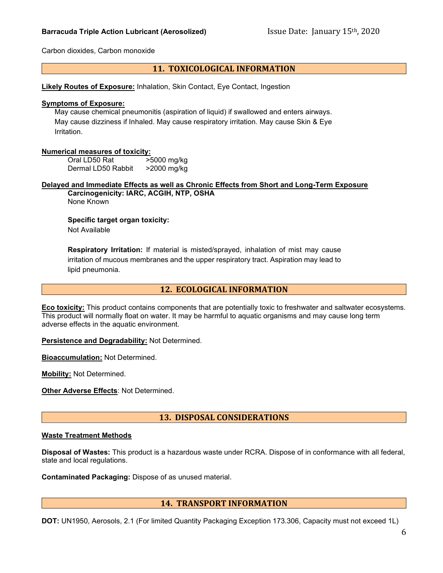Carbon dioxides, Carbon monoxide

## **11. TOXICOLOGICAL INFORMATION**

**Likely Routes of Exposure:** Inhalation, Skin Contact, Eye Contact, Ingestion

#### **Symptoms of Exposure:**

May cause chemical pneumonitis (aspiration of liquid) if swallowed and enters airways. May cause dizziness if Inhaled. May cause respiratory irritation. May cause Skin & Eye Irritation.

#### **Numerical measures of toxicity:**

Oral LD50 Rat >5000 mg/kg Dermal LD50 Rabbit >2000 mg/kg

**Delayed and Immediate Effects as well as Chronic Effects from Short and Long-Term Exposure Carcinogenicity: IARC, ACGIH, NTP, OSHA** None Known

**Specific target organ toxicity:**  Not Available

**Respiratory Irritation:** If material is misted/sprayed, inhalation of mist may cause irritation of mucous membranes and the upper respiratory tract. Aspiration may lead to lipid pneumonia.

## **12. ECOLOGICAL INFORMATION**

**Eco toxicity:** This product contains components that are potentially toxic to freshwater and saltwater ecosystems. This product will normally float on water. It may be harmful to aquatic organisms and may cause long term adverse effects in the aquatic environment.

**Persistence and Degradability:** Not Determined.

**Bioaccumulation:** Not Determined.

**Mobility:** Not Determined.

**Other Adverse Effects**: Not Determined.

**13. DISPOSAL CONSIDERATIONS**

#### **Waste Treatment Methods**

**Disposal of Wastes:** This product is a hazardous waste under RCRA. Dispose of in conformance with all federal, state and local regulations.

**Contaminated Packaging:** Dispose of as unused material.

## **14. TRANSPORT INFORMATION**

**DOT:** UN1950, Aerosols, 2.1 (For limited Quantity Packaging Exception 173.306, Capacity must not exceed 1L)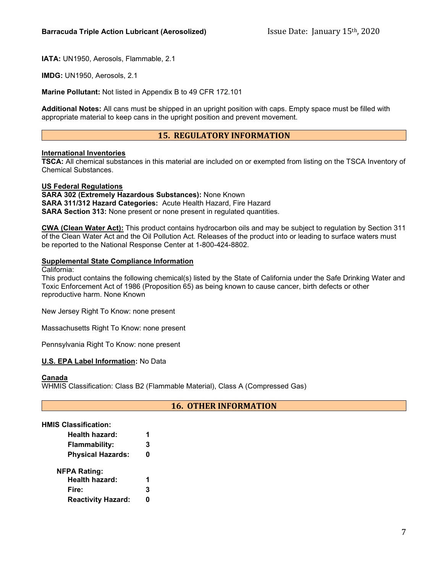**IATA:** UN1950, Aerosols, Flammable, 2.1

**IMDG:** UN1950, Aerosols, 2.1

**Marine Pollutant:** Not listed in Appendix B to 49 CFR 172.101

**Additional Notes:** All cans must be shipped in an upright position with caps. Empty space must be filled with appropriate material to keep cans in the upright position and prevent movement.

# **15. REGULATORY INFORMATION**

#### **International Inventories**

**TSCA:** All chemical substances in this material are included on or exempted from listing on the TSCA Inventory of Chemical Substances.

#### **US Federal Regulations**

**SARA 302 (Extremely Hazardous Substances):** None Known **SARA 311/312 Hazard Categories:** Acute Health Hazard, Fire Hazard **SARA Section 313:** None present or none present in regulated quantities.

**CWA (Clean Water Act):** This product contains hydrocarbon oils and may be subject to regulation by Section 311 of the Clean Water Act and the Oil Pollution Act. Releases of the product into or leading to surface waters must be reported to the National Response Center at 1-800-424-8802.

#### **Supplemental State Compliance Information**

California:

This product contains the following chemical(s) listed by the State of California under the Safe Drinking Water and Toxic Enforcement Act of 1986 (Proposition 65) as being known to cause cancer, birth defects or other reproductive harm. None Known

New Jersey Right To Know: none present

Massachusetts Right To Know: none present

Pennsylvania Right To Know: none present

#### **U.S. EPA Label Information:** No Data

#### **Canada**

WHMIS Classification: Class B2 (Flammable Material), Class A (Compressed Gas)

## **16. OTHER INFORMATION**

#### **HMIS Classification:**

| Health hazard:            |   |
|---------------------------|---|
| <b>Flammability:</b>      | 3 |
| <b>Physical Hazards:</b>  | 0 |
| <b>NFPA Rating:</b>       |   |
| Health hazard:            | 1 |
| Fire:                     | 3 |
| <b>Reactivity Hazard:</b> |   |